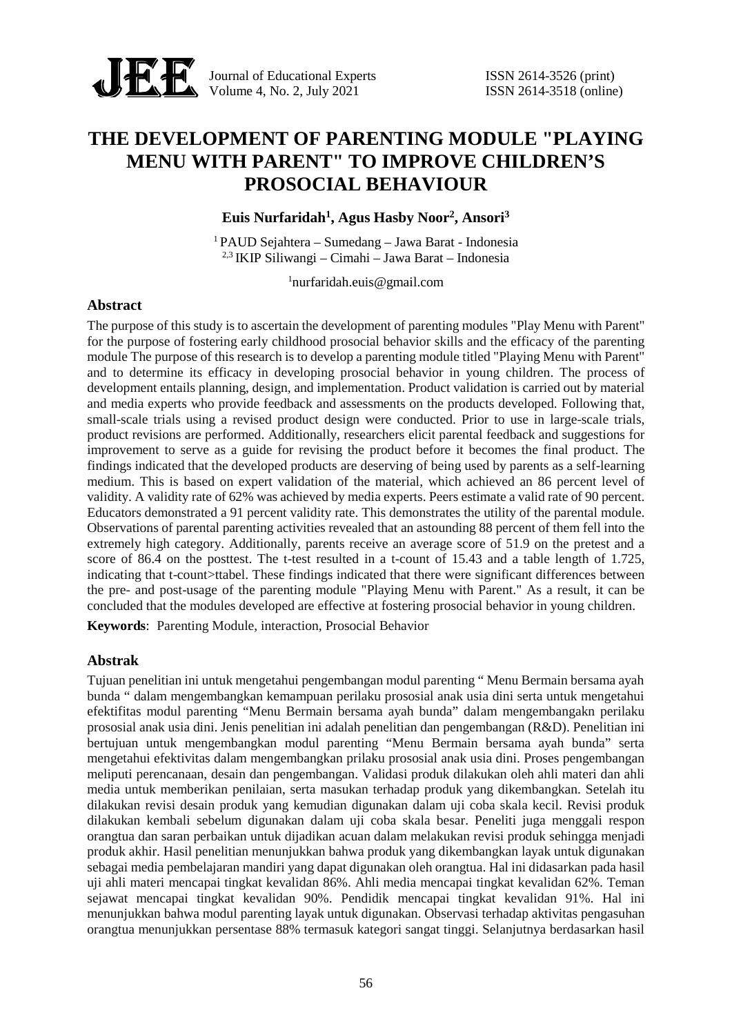

Journal of Educational Experts ISSN 2614-3526 (print) Volume 4, No. 2, July 2021 **ISSN** 2614-3518 (online)

# **THE DEVELOPMENT OF PARENTING MODULE "PLAYING MENU WITH PARENT" TO IMPROVE CHILDREN'S PROSOCIAL BEHAVIOUR**

**Euis Nurfaridah<sup>1</sup> , Agus Hasby Noor<sup>2</sup> , Ansori<sup>3</sup>**

<sup>1</sup> PAUD Sejahtera – Sumedang – Jawa Barat - Indonesia 2,3 IKIP Siliwangi – Cimahi – Jawa Barat – Indonesia

<sup>1</sup>nurfaridah.euis@gmail.com

## **Abstract**

The purpose of this study is to ascertain the development of parenting modules "Play Menu with Parent" for the purpose of fostering early childhood prosocial behavior skills and the efficacy of the parenting module The purpose of this research is to develop a parenting module titled "Playing Menu with Parent" and to determine its efficacy in developing prosocial behavior in young children. The process of development entails planning, design, and implementation. Product validation is carried out by material and media experts who provide feedback and assessments on the products developed. Following that, small-scale trials using a revised product design were conducted. Prior to use in large-scale trials, product revisions are performed. Additionally, researchers elicit parental feedback and suggestions for improvement to serve as a guide for revising the product before it becomes the final product. The findings indicated that the developed products are deserving of being used by parents as a self-learning medium. This is based on expert validation of the material, which achieved an 86 percent level of validity. A validity rate of 62% was achieved by media experts. Peers estimate a valid rate of 90 percent. Educators demonstrated a 91 percent validity rate. This demonstrates the utility of the parental module. Observations of parental parenting activities revealed that an astounding 88 percent of them fell into the extremely high category. Additionally, parents receive an average score of 51.9 on the pretest and a score of 86.4 on the posttest. The t-test resulted in a t-count of 15.43 and a table length of 1.725, indicating that t-count>ttabel. These findings indicated that there were significant differences between the pre- and post-usage of the parenting module "Playing Menu with Parent." As a result, it can be concluded that the modules developed are effective at fostering prosocial behavior in young children.

**Keywords**: Parenting Module, interaction, Prosocial Behavior

# **Abstrak**

Tujuan penelitian ini untuk mengetahui pengembangan modul parenting " Menu Bermain bersama ayah bunda " dalam mengembangkan kemampuan perilaku prososial anak usia dini serta untuk mengetahui efektifitas modul parenting "Menu Bermain bersama ayah bunda" dalam mengembangakn perilaku prososial anak usia dini. Jenis penelitian ini adalah penelitian dan pengembangan (R&D). Penelitian ini bertujuan untuk mengembangkan modul parenting "Menu Bermain bersama ayah bunda" serta mengetahui efektivitas dalam mengembangkan prilaku prososial anak usia dini. Proses pengembangan meliputi perencanaan, desain dan pengembangan. Validasi produk dilakukan oleh ahli materi dan ahli media untuk memberikan penilaian, serta masukan terhadap produk yang dikembangkan. Setelah itu dilakukan revisi desain produk yang kemudian digunakan dalam uji coba skala kecil. Revisi produk dilakukan kembali sebelum digunakan dalam uji coba skala besar. Peneliti juga menggali respon orangtua dan saran perbaikan untuk dijadikan acuan dalam melakukan revisi produk sehingga menjadi produk akhir. Hasil penelitian menunjukkan bahwa produk yang dikembangkan layak untuk digunakan sebagai media pembelajaran mandiri yang dapat digunakan oleh orangtua. Hal ini didasarkan pada hasil uji ahli materi mencapai tingkat kevalidan 86%. Ahli media mencapai tingkat kevalidan 62%. Teman sejawat mencapai tingkat kevalidan 90%. Pendidik mencapai tingkat kevalidan 91%. Hal ini menunjukkan bahwa modul parenting layak untuk digunakan. Observasi terhadap aktivitas pengasuhan orangtua menunjukkan persentase 88% termasuk kategori sangat tinggi. Selanjutnya berdasarkan hasil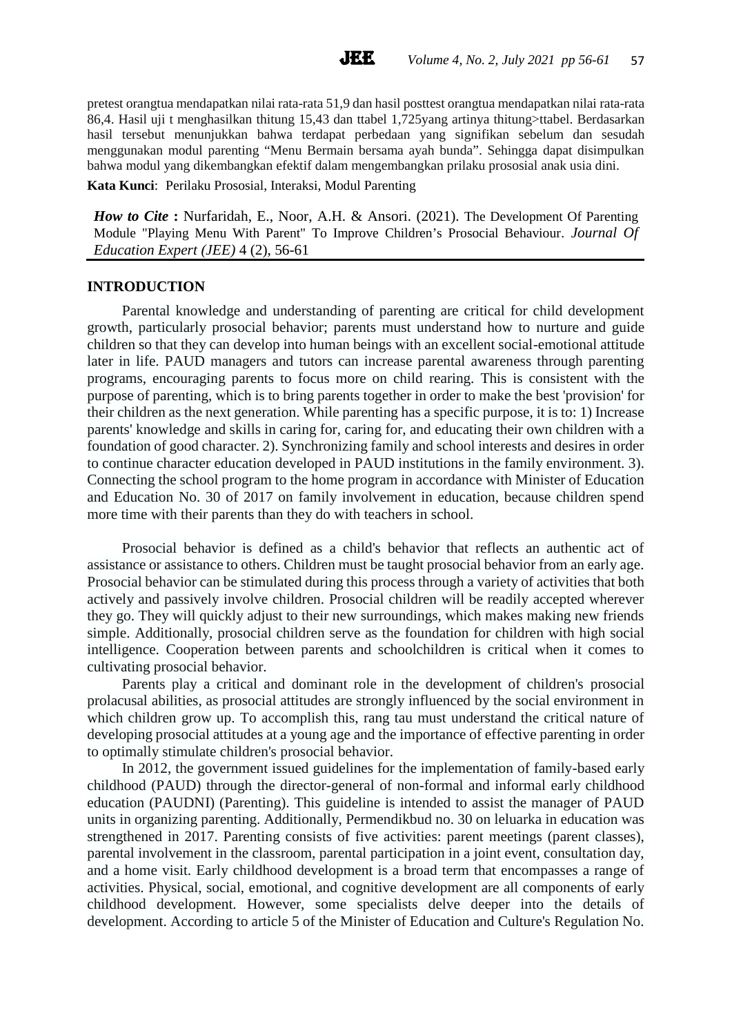pretest orangtua mendapatkan nilai rata-rata 51,9 dan hasil posttest orangtua mendapatkan nilai rata-rata 86,4. Hasil uji t menghasilkan thitung 15,43 dan ttabel 1,725yang artinya thitung>ttabel. Berdasarkan hasil tersebut menunjukkan bahwa terdapat perbedaan yang signifikan sebelum dan sesudah menggunakan modul parenting "Menu Bermain bersama ayah bunda". Sehingga dapat disimpulkan bahwa modul yang dikembangkan efektif dalam mengembangkan prilaku prososial anak usia dini. **Kata Kunci**: Perilaku Prososial, Interaksi, Modul Parenting

*How to Cite* **:** Nurfaridah, E., Noor, A.H. & Ansori. (2021). The Development Of Parenting Module "Playing Menu With Parent" To Improve Children's Prosocial Behaviour. *Journal Of Education Expert (JEE)* 4 (2), 56-61

#### **INTRODUCTION**

Parental knowledge and understanding of parenting are critical for child development growth, particularly prosocial behavior; parents must understand how to nurture and guide children so that they can develop into human beings with an excellent social-emotional attitude later in life. PAUD managers and tutors can increase parental awareness through parenting programs, encouraging parents to focus more on child rearing. This is consistent with the purpose of parenting, which is to bring parents together in order to make the best 'provision' for their children as the next generation. While parenting has a specific purpose, it is to: 1) Increase parents' knowledge and skills in caring for, caring for, and educating their own children with a foundation of good character. 2). Synchronizing family and school interests and desires in order to continue character education developed in PAUD institutions in the family environment. 3). Connecting the school program to the home program in accordance with Minister of Education and Education No. 30 of 2017 on family involvement in education, because children spend more time with their parents than they do with teachers in school.

Prosocial behavior is defined as a child's behavior that reflects an authentic act of assistance or assistance to others. Children must be taught prosocial behavior from an early age. Prosocial behavior can be stimulated during this process through a variety of activities that both actively and passively involve children. Prosocial children will be readily accepted wherever they go. They will quickly adjust to their new surroundings, which makes making new friends simple. Additionally, prosocial children serve as the foundation for children with high social intelligence. Cooperation between parents and schoolchildren is critical when it comes to cultivating prosocial behavior.

Parents play a critical and dominant role in the development of children's prosocial prolacusal abilities, as prosocial attitudes are strongly influenced by the social environment in which children grow up. To accomplish this, rang tau must understand the critical nature of developing prosocial attitudes at a young age and the importance of effective parenting in order to optimally stimulate children's prosocial behavior.

In 2012, the government issued guidelines for the implementation of family-based early childhood (PAUD) through the director-general of non-formal and informal early childhood education (PAUDNI) (Parenting). This guideline is intended to assist the manager of PAUD units in organizing parenting. Additionally, Permendikbud no. 30 on leluarka in education was strengthened in 2017. Parenting consists of five activities: parent meetings (parent classes), parental involvement in the classroom, parental participation in a joint event, consultation day, and a home visit. Early childhood development is a broad term that encompasses a range of activities. Physical, social, emotional, and cognitive development are all components of early childhood development. However, some specialists delve deeper into the details of development. According to article 5 of the Minister of Education and Culture's Regulation No.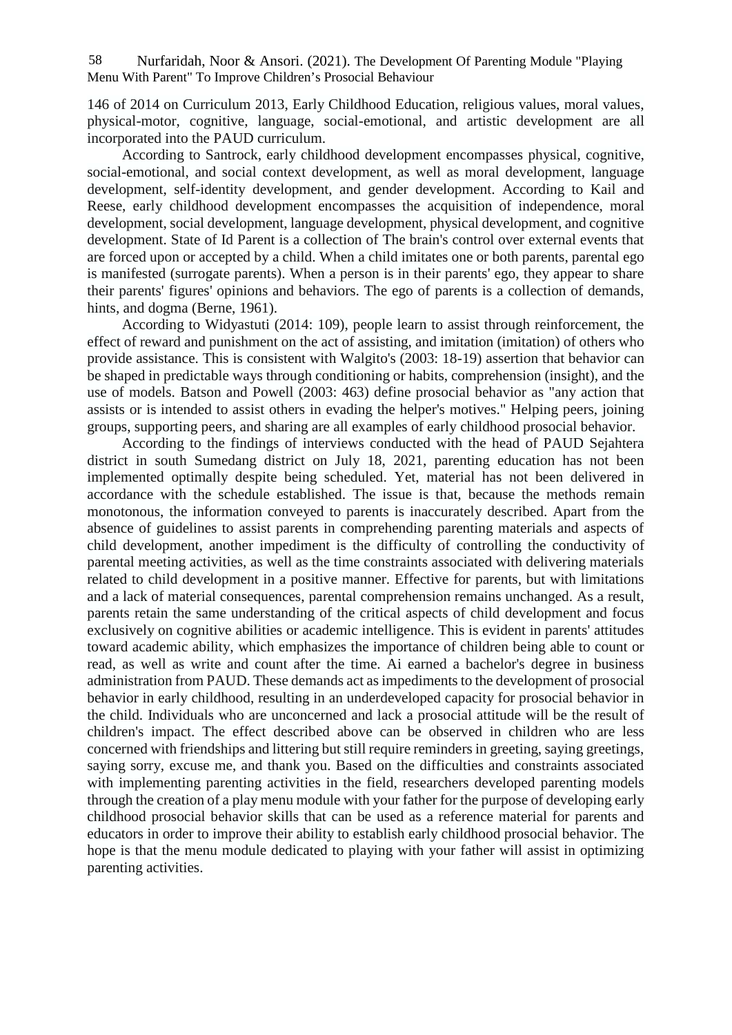Nurfaridah, Noor & Ansori. (2021). The Development Of Parenting Module "Playing Menu With Parent" To Improve Children's Prosocial Behaviour 58

146 of 2014 on Curriculum 2013, Early Childhood Education, religious values, moral values, physical-motor, cognitive, language, social-emotional, and artistic development are all incorporated into the PAUD curriculum.

According to Santrock, early childhood development encompasses physical, cognitive, social-emotional, and social context development, as well as moral development, language development, self-identity development, and gender development. According to Kail and Reese, early childhood development encompasses the acquisition of independence, moral development, social development, language development, physical development, and cognitive development. State of Id Parent is a collection of The brain's control over external events that are forced upon or accepted by a child. When a child imitates one or both parents, parental ego is manifested (surrogate parents). When a person is in their parents' ego, they appear to share their parents' figures' opinions and behaviors. The ego of parents is a collection of demands, hints, and dogma (Berne, 1961).

According to Widyastuti (2014: 109), people learn to assist through reinforcement, the effect of reward and punishment on the act of assisting, and imitation (imitation) of others who provide assistance. This is consistent with Walgito's (2003: 18-19) assertion that behavior can be shaped in predictable ways through conditioning or habits, comprehension (insight), and the use of models. Batson and Powell (2003: 463) define prosocial behavior as "any action that assists or is intended to assist others in evading the helper's motives." Helping peers, joining groups, supporting peers, and sharing are all examples of early childhood prosocial behavior.

According to the findings of interviews conducted with the head of PAUD Sejahtera district in south Sumedang district on July 18, 2021, parenting education has not been implemented optimally despite being scheduled. Yet, material has not been delivered in accordance with the schedule established. The issue is that, because the methods remain monotonous, the information conveyed to parents is inaccurately described. Apart from the absence of guidelines to assist parents in comprehending parenting materials and aspects of child development, another impediment is the difficulty of controlling the conductivity of parental meeting activities, as well as the time constraints associated with delivering materials related to child development in a positive manner. Effective for parents, but with limitations and a lack of material consequences, parental comprehension remains unchanged. As a result, parents retain the same understanding of the critical aspects of child development and focus exclusively on cognitive abilities or academic intelligence. This is evident in parents' attitudes toward academic ability, which emphasizes the importance of children being able to count or read, as well as write and count after the time. Ai earned a bachelor's degree in business administration from PAUD. These demands act as impediments to the development of prosocial behavior in early childhood, resulting in an underdeveloped capacity for prosocial behavior in the child. Individuals who are unconcerned and lack a prosocial attitude will be the result of children's impact. The effect described above can be observed in children who are less concerned with friendships and littering but still require reminders in greeting, saying greetings, saying sorry, excuse me, and thank you. Based on the difficulties and constraints associated with implementing parenting activities in the field, researchers developed parenting models through the creation of a play menu module with your father for the purpose of developing early childhood prosocial behavior skills that can be used as a reference material for parents and educators in order to improve their ability to establish early childhood prosocial behavior. The hope is that the menu module dedicated to playing with your father will assist in optimizing parenting activities.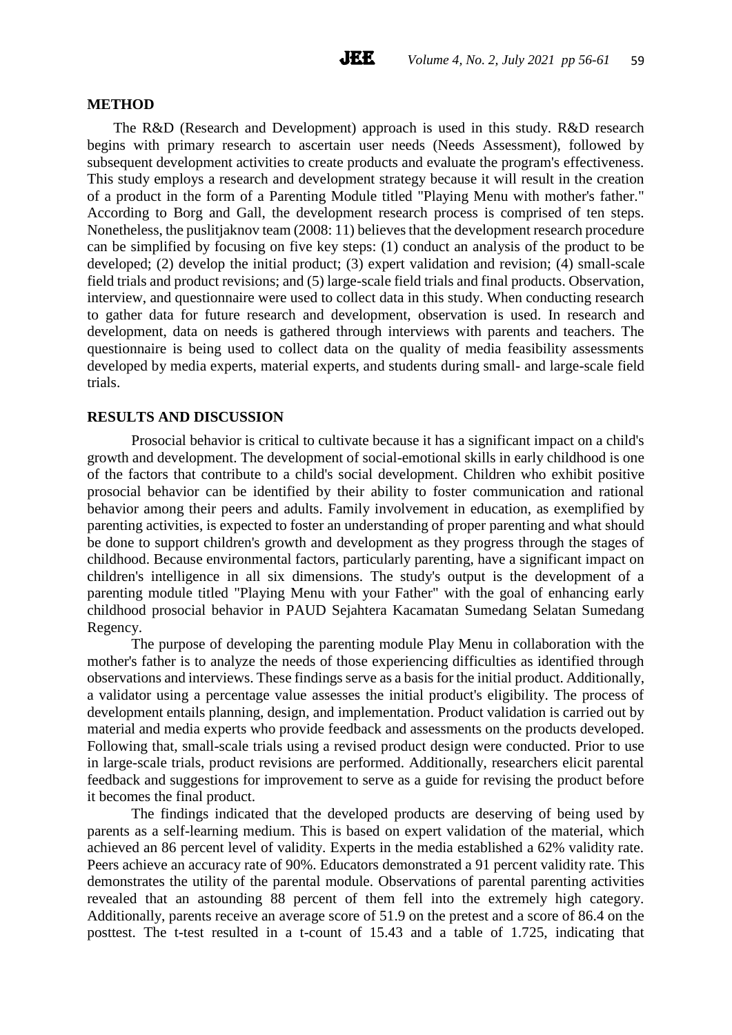#### **METHOD**

The R&D (Research and Development) approach is used in this study. R&D research begins with primary research to ascertain user needs (Needs Assessment), followed by subsequent development activities to create products and evaluate the program's effectiveness. This study employs a research and development strategy because it will result in the creation of a product in the form of a Parenting Module titled "Playing Menu with mother's father." According to Borg and Gall, the development research process is comprised of ten steps. Nonetheless, the puslitjaknov team (2008: 11) believes that the development research procedure can be simplified by focusing on five key steps: (1) conduct an analysis of the product to be developed; (2) develop the initial product; (3) expert validation and revision; (4) small-scale field trials and product revisions; and (5) large-scale field trials and final products. Observation, interview, and questionnaire were used to collect data in this study. When conducting research to gather data for future research and development, observation is used. In research and development, data on needs is gathered through interviews with parents and teachers. The questionnaire is being used to collect data on the quality of media feasibility assessments developed by media experts, material experts, and students during small- and large-scale field trials.

#### **RESULTS AND DISCUSSION**

Prosocial behavior is critical to cultivate because it has a significant impact on a child's growth and development. The development of social-emotional skills in early childhood is one of the factors that contribute to a child's social development. Children who exhibit positive prosocial behavior can be identified by their ability to foster communication and rational behavior among their peers and adults. Family involvement in education, as exemplified by parenting activities, is expected to foster an understanding of proper parenting and what should be done to support children's growth and development as they progress through the stages of childhood. Because environmental factors, particularly parenting, have a significant impact on children's intelligence in all six dimensions. The study's output is the development of a parenting module titled "Playing Menu with your Father" with the goal of enhancing early childhood prosocial behavior in PAUD Sejahtera Kacamatan Sumedang Selatan Sumedang Regency.

The purpose of developing the parenting module Play Menu in collaboration with the mother's father is to analyze the needs of those experiencing difficulties as identified through observations and interviews. These findings serve as a basis for the initial product. Additionally, a validator using a percentage value assesses the initial product's eligibility. The process of development entails planning, design, and implementation. Product validation is carried out by material and media experts who provide feedback and assessments on the products developed. Following that, small-scale trials using a revised product design were conducted. Prior to use in large-scale trials, product revisions are performed. Additionally, researchers elicit parental feedback and suggestions for improvement to serve as a guide for revising the product before it becomes the final product.

The findings indicated that the developed products are deserving of being used by parents as a self-learning medium. This is based on expert validation of the material, which achieved an 86 percent level of validity. Experts in the media established a 62% validity rate. Peers achieve an accuracy rate of 90%. Educators demonstrated a 91 percent validity rate. This demonstrates the utility of the parental module. Observations of parental parenting activities revealed that an astounding 88 percent of them fell into the extremely high category. Additionally, parents receive an average score of 51.9 on the pretest and a score of 86.4 on the posttest. The t-test resulted in a t-count of 15.43 and a table of 1.725, indicating that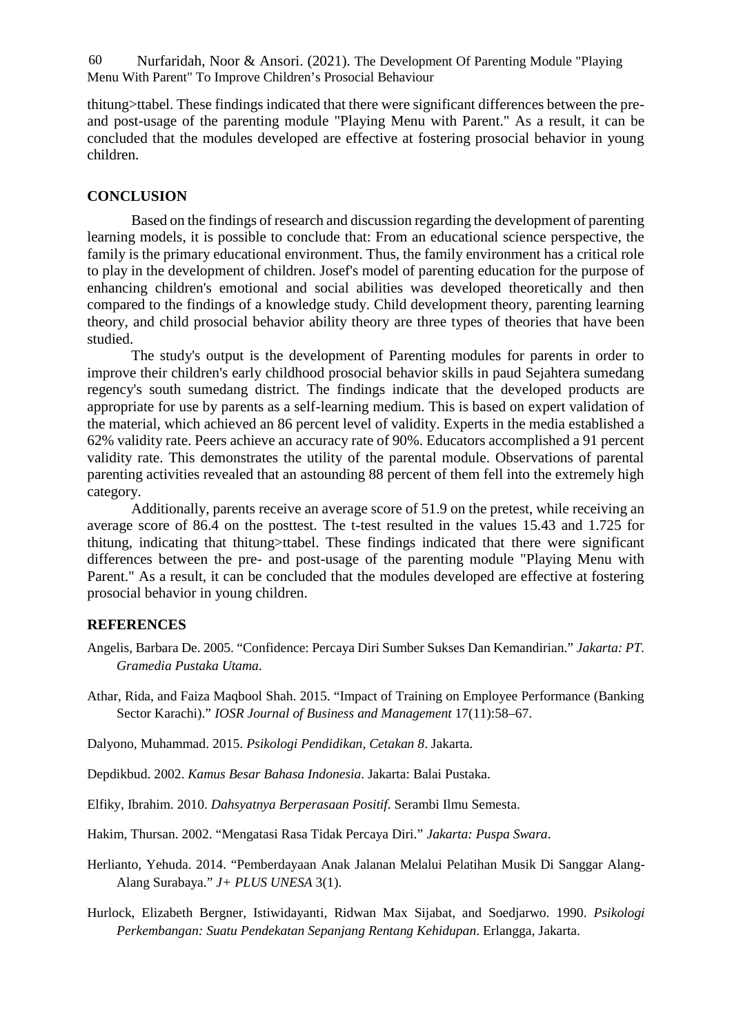Nurfaridah, Noor & Ansori. (2021). The Development Of Parenting Module "Playing 60 Menu With Parent" To Improve Children's Prosocial Behaviour

thitung>ttabel. These findings indicated that there were significant differences between the pre and post-usage of the parenting module "Playing Menu with Parent." As a result, it can be concluded that the modules developed are effective at fostering prosocial behavior in young children.

## **CONCLUSION**

Based on the findings of research and discussion regarding the development of parenting learning models, it is possible to conclude that: From an educational science perspective, the family is the primary educational environment. Thus, the family environment has a critical role to play in the development of children. Josef's model of parenting education for the purpose of enhancing children's emotional and social abilities was developed theoretically and then compared to the findings of a knowledge study. Child development theory, parenting learning theory, and child prosocial behavior ability theory are three types of theories that have been studied.

The study's output is the development of Parenting modules for parents in order to improve their children's early childhood prosocial behavior skills in paud Sejahtera sumedang regency's south sumedang district. The findings indicate that the developed products are appropriate for use by parents as a self-learning medium. This is based on expert validation of the material, which achieved an 86 percent level of validity. Experts in the media established a 62% validity rate. Peers achieve an accuracy rate of 90%. Educators accomplished a 91 percent validity rate. This demonstrates the utility of the parental module. Observations of parental parenting activities revealed that an astounding 88 percent of them fell into the extremely high category.

Additionally, parents receive an average score of 51.9 on the pretest, while receiving an average score of 86.4 on the posttest. The t-test resulted in the values 15.43 and 1.725 for thitung, indicating that thitung>ttabel. These findings indicated that there were significant differences between the pre- and post-usage of the parenting module "Playing Menu with Parent." As a result, it can be concluded that the modules developed are effective at fostering prosocial behavior in young children.

## **REFERENCES**

- Angelis, Barbara De. 2005. "Confidence: Percaya Diri Sumber Sukses Dan Kemandirian." *Jakarta: PT. Gramedia Pustaka Utama*.
- Athar, Rida, and Faiza Maqbool Shah. 2015. "Impact of Training on Employee Performance (Banking Sector Karachi)." *IOSR Journal of Business and Management* 17(11):58–67.
- Dalyono, Muhammad. 2015. *Psikologi Pendidikan, Cetakan 8*. Jakarta.
- Depdikbud. 2002. *Kamus Besar Bahasa Indonesia*. Jakarta: Balai Pustaka.
- Elfiky, Ibrahim. 2010. *Dahsyatnya Berperasaan Positif*. Serambi Ilmu Semesta.
- Hakim, Thursan. 2002. "Mengatasi Rasa Tidak Percaya Diri." *Jakarta: Puspa Swara*.
- Herlianto, Yehuda. 2014. "Pemberdayaan Anak Jalanan Melalui Pelatihan Musik Di Sanggar Alang- Alang Surabaya." *J+ PLUS UNESA* 3(1).
- Hurlock, Elizabeth Bergner, Istiwidayanti, Ridwan Max Sijabat, and Soedjarwo. 1990. *Psikologi Perkembangan: Suatu Pendekatan Sepanjang Rentang Kehidupan*. Erlangga, Jakarta.